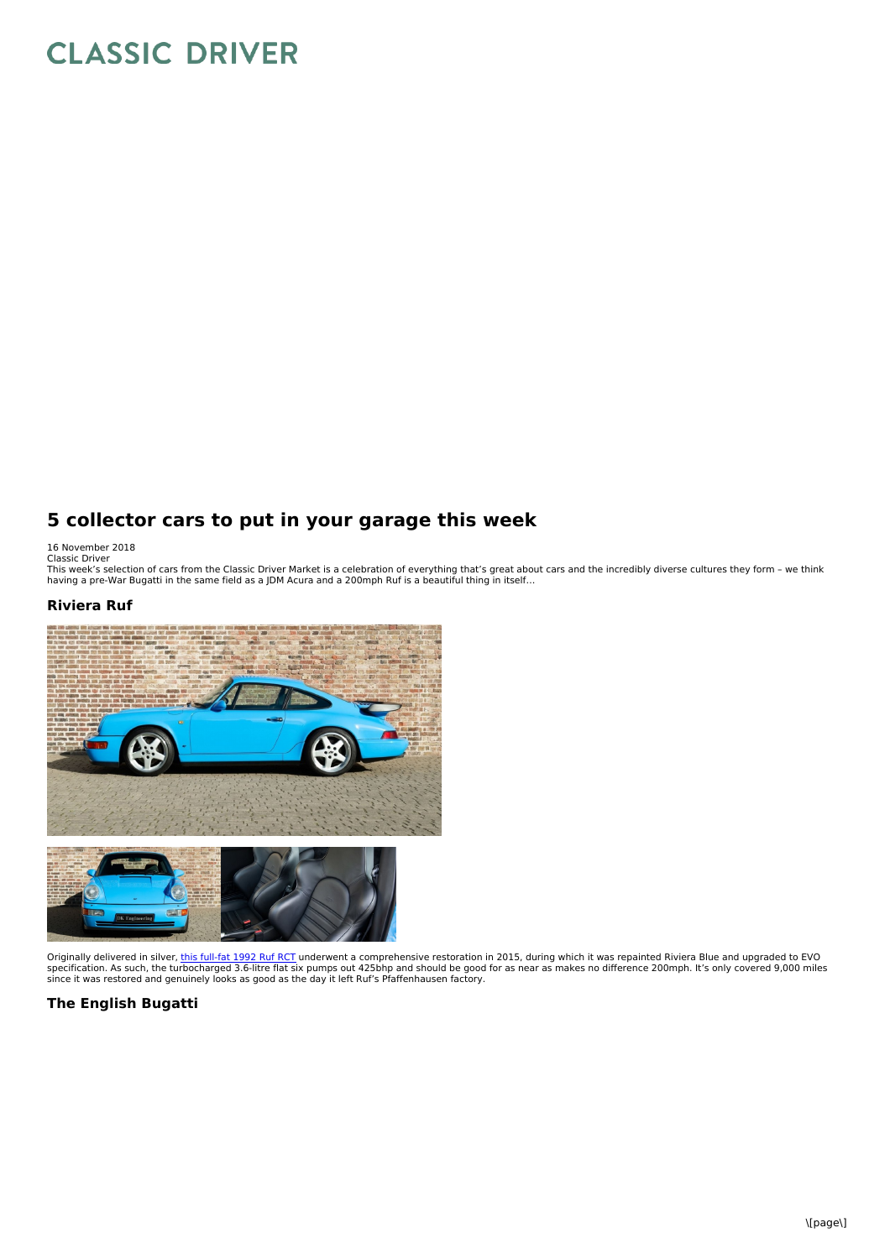# **CLASSIC DRIVER**

## **5 collector cars to put in your garage this week**

16 November 2018<br>Classic Driver<br>This week's selection of cars from the Classic Driver Market is a celebration of everything that's great about cars and the incredibly diverse cultures they form – we think<br>This week's selec

#### **Riviera Ruf**



Originally delivered in silver, <u>this [full-fat](https://www.classicdriver.com/en/car/ruf/rct/1992/580352) 1992 Ruf RCT</u> underwent a comprehensive restoration in 2015, during which it was repainted Riviera Blue and upgraded to EVO<br>specification. As such, the turbocharged 3.6-litre

### **The English Bugatti**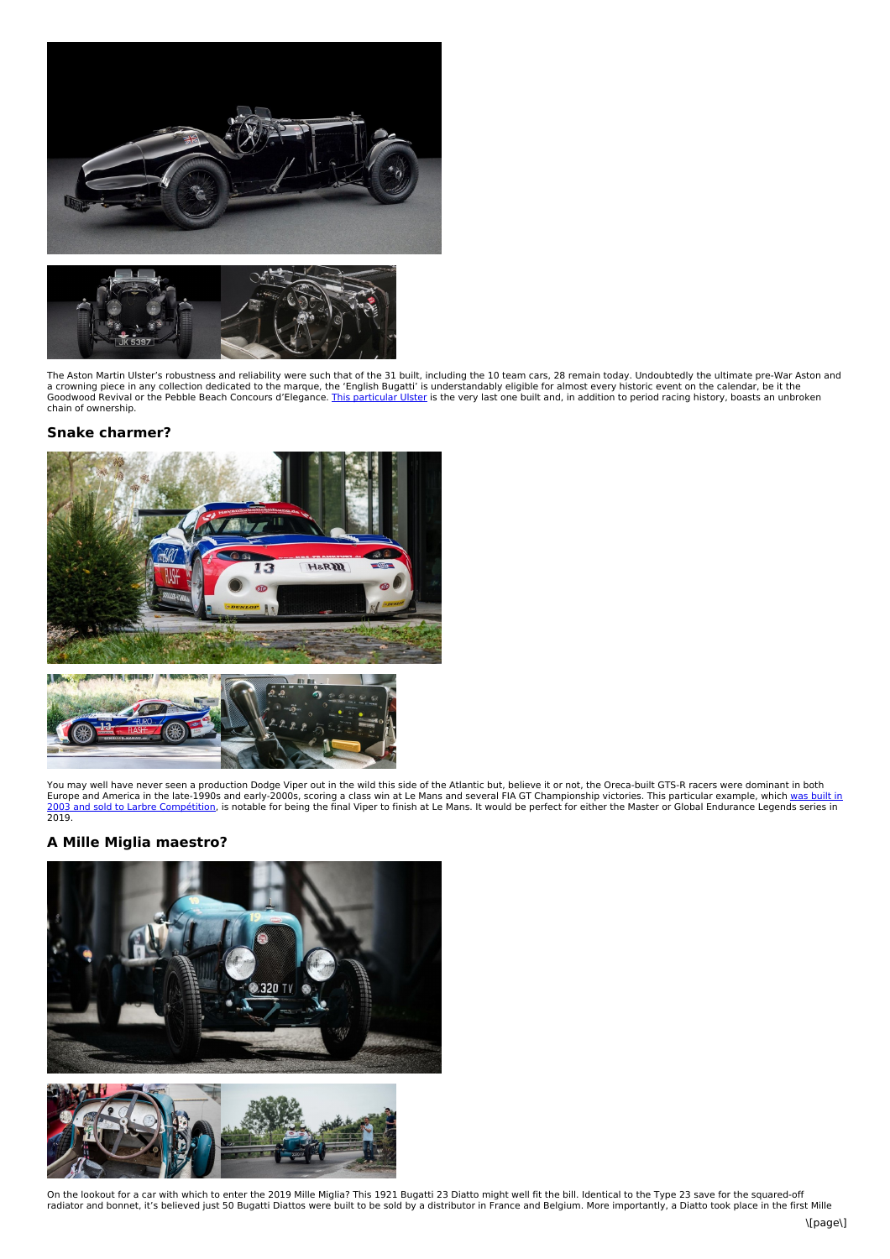



The Aston Martin Ulster's robustness and reliability were such that of the 31 built, including the 10 team cars, 28 remain today. Undoubtedly the ultimate pre-War Aston and<br>a crowning piece in any collection dedicated to t

#### **Snake charmer?**





You may well have never seen a production Dodge Viper out in the wild this side of the Atlantic but, believe it or not, the Oreca-built GTS-R racers were dominant in both Europe and America in the late-1990s and early-2000s, scoring a class win at Le Mans and several FIA GT [Championship](https://www.classicdriver.com/en/car/chrysler/viper/2003/580690) victories. This particular example, which <u>was built in</u><br>2003 and sold to Larbre Compétition, is notable

#### **A Mille Miglia maestro?**



On the lookout for a car with which to enter the 2019 Mille Miglia? This 1921 Bugatti 23 Diatto might well fit the bill. Identical to the Type 23 save for the squared-off<br>radiator and bonnet, it's believed just 50 Bugatti